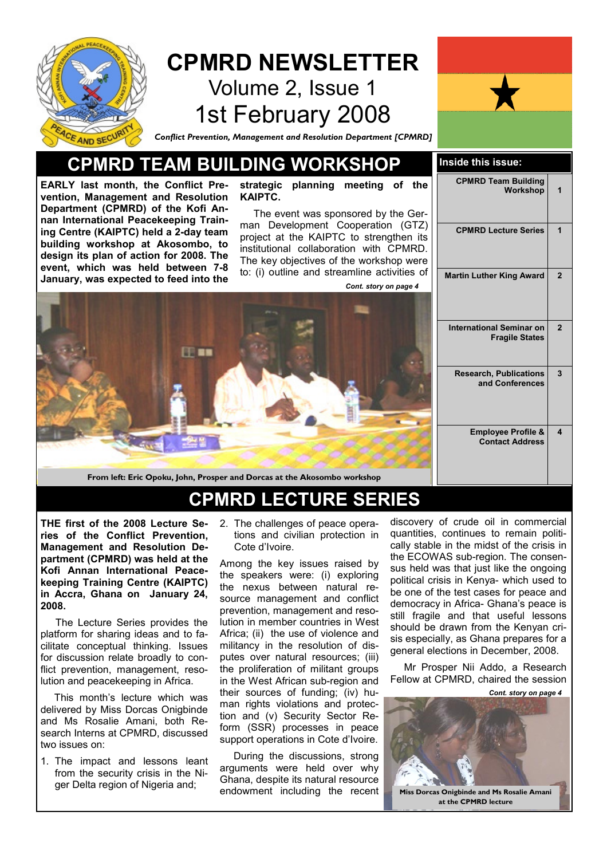

## CPMRD NEWSLETTER Volume 2, Issue 1 1st February 2008



Conflict Prevention, Management and Resolution Department [CPMRD]

### CPMRD TEAM BUILDING WORKSHOP Inside this issue:

EARLY last month, the Conflict Prevention, Management and Resolution Department (CPMRD) of the Kofi Annan International Peacekeeping Training Centre (KAIPTC) held a 2-day team building workshop at Akosombo, to design its plan of action for 2008. The event, which was held between 7-8 January, was expected to feed into the

strategic planning meeting of the KAIPTC.

 The event was sponsored by the German Development Cooperation (GTZ) project at the KAIPTC to strengthen its institutional collaboration with CPMRD. The key objectives of the workshop were to: (i) outline and streamline activities of Cont. story on page 4



From left: Eric Opoku, John, Prosper and Dorcas at the Akosombo workshop

## CPMRD LECTURE SERIES

THE first of the 2008 Lecture Series of the Conflict Prevention, Management and Resolution Department (CPMRD) was held at the Kofi Annan International Peacekeeping Training Centre (KAIPTC) in Accra, Ghana on January 24, 2008.

 The Lecture Series provides the platform for sharing ideas and to facilitate conceptual thinking. Issues for discussion relate broadly to conflict prevention, management, resolution and peacekeeping in Africa.

 This month's lecture which was delivered by Miss Dorcas Onigbinde and Ms Rosalie Amani, both Research Interns at CPMRD, discussed two issues on:

1. The impact and lessons leant from the security crisis in the Niger Delta region of Nigeria and;

2. The challenges of peace operations and civilian protection in Cote d'Ivoire.

Among the key issues raised by the speakers were: (i) exploring the nexus between natural resource management and conflict prevention, management and resolution in member countries in West Africa; (ii) the use of violence and militancy in the resolution of disputes over natural resources; (iii) the proliferation of militant groups in the West African sub-region and their sources of funding; (iv) human rights violations and protection and (v) Security Sector Reform (SSR) processes in peace support operations in Cote d'Ivoire.

 During the discussions, strong arguments were held over why Ghana, despite its natural resource endowment including the recent discovery of crude oil in commercial quantities, continues to remain politically stable in the midst of the crisis in the ECOWAS sub-region. The consensus held was that just like the ongoing political crisis in Kenya- which used to be one of the test cases for peace and democracy in Africa- Ghana's peace is still fragile and that useful lessons should be drawn from the Kenyan crisis especially, as Ghana prepares for a general elections in December, 2008.

 Mr Prosper Nii Addo, a Research Fellow at CPMRD, chaired the session



| <b>CPMRD Team Building</b><br>Workshop                   | 1              |
|----------------------------------------------------------|----------------|
| <b>CPMRD Lecture Series</b>                              | 1              |
| <b>Martin Luther King Award</b>                          | $\overline{2}$ |
| <b>International Seminar on</b><br><b>Fragile States</b> | $\overline{2}$ |
| <b>Research, Publications</b><br>and Conferences         | 3              |
| <b>Employee Profile &amp;</b><br><b>Contact Address</b>  | 4              |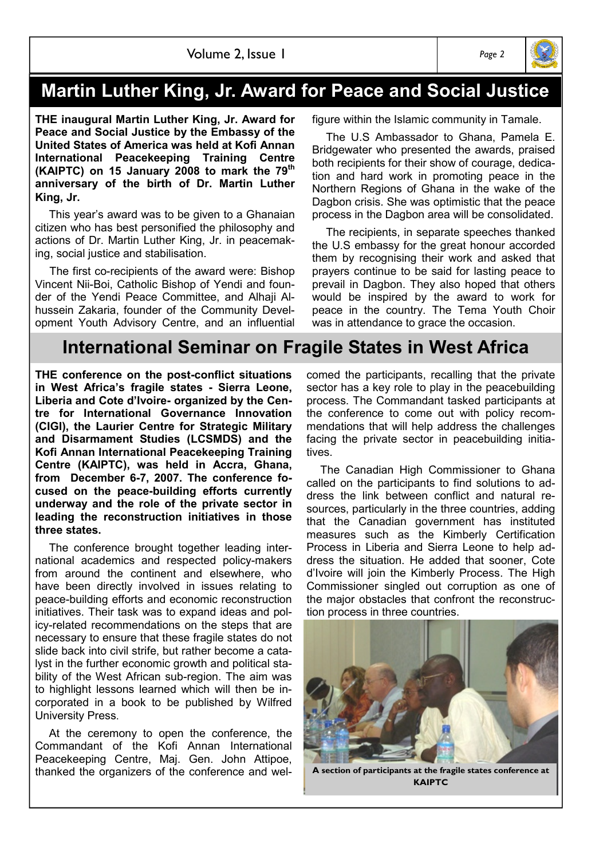## Martin Luther King, Jr. Award for Peace and Social Justice

THE inaugural Martin Luther King, Jr. Award for Peace and Social Justice by the Embassy of the United States of America was held at Kofi Annan International Peacekeeping Training Centre (KAIPTC) on 15 January 2008 to mark the  $79<sup>th</sup>$ anniversary of the birth of Dr. Martin Luther King, Jr.

 This year's award was to be given to a Ghanaian citizen who has best personified the philosophy and actions of Dr. Martin Luther King, Jr. in peacemaking, social justice and stabilisation.

 The first co-recipients of the award were: Bishop Vincent Nii-Boi, Catholic Bishop of Yendi and founder of the Yendi Peace Committee, and Alhaji Alhussein Zakaria, founder of the Community Development Youth Advisory Centre, and an influential figure within the Islamic community in Tamale.

 The U.S Ambassador to Ghana, Pamela E. Bridgewater who presented the awards, praised both recipients for their show of courage, dedication and hard work in promoting peace in the Northern Regions of Ghana in the wake of the Dagbon crisis. She was optimistic that the peace process in the Dagbon area will be consolidated.

 The recipients, in separate speeches thanked the U.S embassy for the great honour accorded them by recognising their work and asked that prayers continue to be said for lasting peace to prevail in Dagbon. They also hoped that others would be inspired by the award to work for peace in the country. The Tema Youth Choir was in attendance to grace the occasion.

## International Seminar on Fragile States in West Africa

THE conference on the post-conflict situations in West Africa's fragile states - Sierra Leone, Liberia and Cote d'Ivoire- organized by the Centre for International Governance Innovation (CIGI), the Laurier Centre for Strategic Military and Disarmament Studies (LCSMDS) and the Kofi Annan International Peacekeeping Training Centre (KAIPTC), was held in Accra, Ghana, from December 6-7, 2007. The conference focused on the peace-building efforts currently underway and the role of the private sector in leading the reconstruction initiatives in those three states.

 The conference brought together leading international academics and respected policy-makers from around the continent and elsewhere, who have been directly involved in issues relating to peace-building efforts and economic reconstruction initiatives. Their task was to expand ideas and policy-related recommendations on the steps that are necessary to ensure that these fragile states do not slide back into civil strife, but rather become a catalyst in the further economic growth and political stability of the West African sub-region. The aim was to highlight lessons learned which will then be incorporated in a book to be published by Wilfred University Press.

 At the ceremony to open the conference, the Commandant of the Kofi Annan International Peacekeeping Centre, Maj. Gen. John Attipoe, thanked the organizers of the conference and welcomed the participants, recalling that the private sector has a key role to play in the peacebuilding process. The Commandant tasked participants at the conference to come out with policy recommendations that will help address the challenges facing the private sector in peacebuilding initiatives.

 The Canadian High Commissioner to Ghana called on the participants to find solutions to address the link between conflict and natural resources, particularly in the three countries, adding that the Canadian government has instituted measures such as the Kimberly Certification Process in Liberia and Sierra Leone to help address the situation. He added that sooner, Cote d'Ivoire will join the Kimberly Process. The High Commissioner singled out corruption as one of the major obstacles that confront the reconstruction process in three countries.

A section of participants at the fragile states conference at **KAIPTC** 



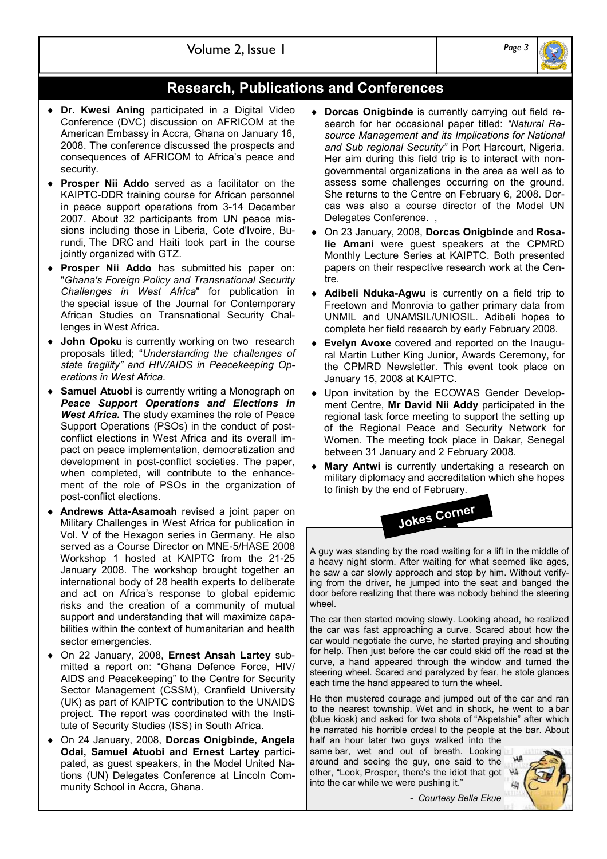

### Research, Publications and Conferences

- ♦ Dr. Kwesi Aning participated in a Digital Video Conference (DVC) discussion on AFRICOM at the American Embassy in Accra, Ghana on January 16, 2008. The conference discussed the prospects and consequences of AFRICOM to Africa's peace and security.
- Prosper Nii Addo served as a facilitator on the KAIPTC-DDR training course for African personnel in peace support operations from 3-14 December 2007. About 32 participants from UN peace missions including those in Liberia, Cote d'Ivoire, Burundi, The DRC and Haiti took part in the course jointly organized with GTZ.
- **Prosper Nii Addo** has submitted his paper on: "Ghana's Foreign Policy and Transnational Security Challenges in West Africa" for publication in the special issue of the Journal for Contemporary African Studies on Transnational Security Challenges in West Africa.
- ♦ John Opoku is currently working on two research proposals titled; "Understanding the challenges of state fragility" and HIV/AIDS in Peacekeeping Operations in West Africa.
- **Samuel Atuobi** is currently writing a Monograph on Peace Support Operations and Elections in West Africa. The study examines the role of Peace Support Operations (PSOs) in the conduct of postconflict elections in West Africa and its overall impact on peace implementation, democratization and development in post-conflict societies. The paper, when completed, will contribute to the enhancement of the role of PSOs in the organization of post-conflict elections.
- Andrews Atta-Asamoah revised a joint paper on Military Challenges in West Africa for publication in Vol. V of the Hexagon series in Germany. He also served as a Course Director on MNE-5/HASE 2008 Workshop 1 hosted at KAIPTC from the 21-25 January 2008. The workshop brought together an international body of 28 health experts to deliberate and act on Africa's response to global epidemic risks and the creation of a community of mutual support and understanding that will maximize capabilities within the context of humanitarian and health sector emergencies.
- ♦ On 22 January, 2008, Ernest Ansah Lartey submitted a report on: "Ghana Defence Force, HIV/ AIDS and Peacekeeping" to the Centre for Security Sector Management (CSSM), Cranfield University (UK) as part of KAIPTC contribution to the UNAIDS project. The report was coordinated with the Institute of Security Studies (ISS) in South Africa.
- ♦ On 24 January, 2008, Dorcas Onigbinde, Angela Odai, Samuel Atuobi and Ernest Lartey participated, as guest speakers, in the Model United Nations (UN) Delegates Conference at Lincoln Community School in Accra, Ghana.
- ♦ Dorcas Onigbinde is currently carrying out field research for her occasional paper titled: "Natural Resource Management and its Implications for National and Sub regional Security" in Port Harcourt, Nigeria. Her aim during this field trip is to interact with nongovernmental organizations in the area as well as to assess some challenges occurring on the ground. She returns to the Centre on February 6, 2008. Dorcas was also a course director of the Model UN Delegates Conference.
- ♦ On 23 January, 2008, Dorcas Onigbinde and Rosalie Amani were guest speakers at the CPMRD Monthly Lecture Series at KAIPTC. Both presented papers on their respective research work at the Centre.
- ♦ Adibeli Nduka-Agwu is currently on a field trip to Freetown and Monrovia to gather primary data from UNMIL and UNAMSIL/UNIOSIL. Adibeli hopes to complete her field research by early February 2008.
- ♦ Evelyn Avoxe covered and reported on the Inaugural Martin Luther King Junior, Awards Ceremony, for the CPMRD Newsletter. This event took place on January 15, 2008 at KAIPTC.
- ♦ Upon invitation by the ECOWAS Gender Development Centre, Mr David Nii Addy participated in the regional task force meeting to support the setting up of the Regional Peace and Security Network for Women. The meeting took place in Dakar, Senegal between 31 January and 2 February 2008.
- ♦ Mary Antwi is currently undertaking a research on military diplomacy and accreditation which she hopes to finish by the end of February.



A guy was standing by the road waiting for a lift in the middle of a heavy night storm. After waiting for what seemed like ages, he saw a car slowly approach and stop by him. Without verifying from the driver, he jumped into the seat and banged the door before realizing that there was nobody behind the steering wheel

The car then started moving slowly. Looking ahead, he realized the car was fast approaching a curve. Scared about how the car would negotiate the curve, he started praying and shouting for help. Then just before the car could skid off the road at the curve, a hand appeared through the window and turned the steering wheel. Scared and paralyzed by fear, he stole glances each time the hand appeared to turn the wheel.

He then mustered courage and jumped out of the car and ran to the nearest township. Wet and in shock, he went to a bar (blue kiosk) and asked for two shots of "Akpetshie" after which he narrated his horrible ordeal to the people at the bar. About half an hour later two guys walked into the

same bar, wet and out of breath. Looking around and seeing the guy, one said to the other, "Look, Prosper, there's the idiot that got into the car while we were pushing it."



- Courtesy Bella Ekue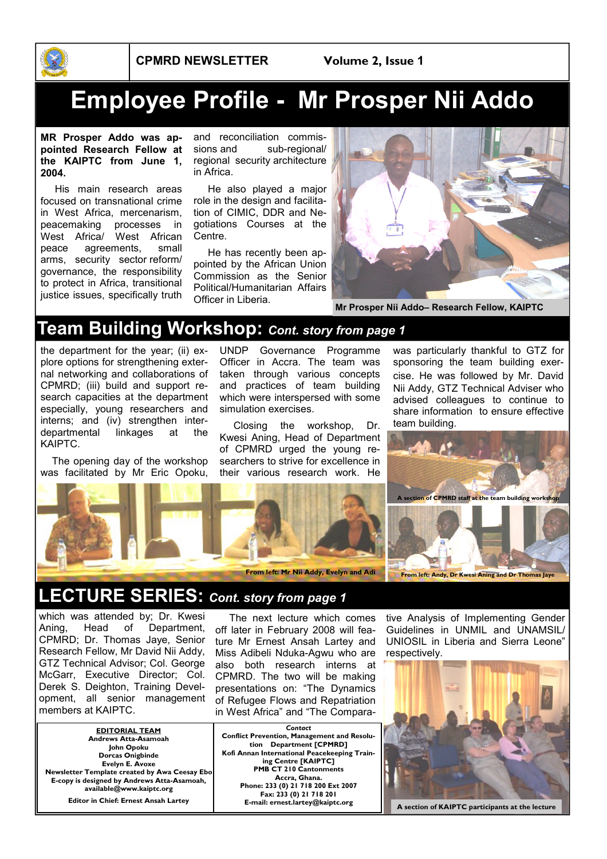

# Employee Profile - Mr Prosper Nii Addo

MR Prosper Addo was appointed Research Fellow at the KAIPTC from June 1, 2004.

 His main research areas focused on transnational crime in West Africa, mercenarism, peacemaking processes in West Africa/ West African peace agreements, small arms, security sector reform/ governance, the responsibility to protect in Africa, transitional justice issues, specifically truth

and reconciliation commissions and sub-regional/ regional security architecture in Africa.

 He also played a major role in the design and facilitation of CIMIC, DDR and Negotiations Courses at the Centre.

 He has recently been appointed by the African Union Commission as the Senior Political/Humanitarian Affairs Officer in Liberia.



Mr Prosper Nii Addo– Research Fellow, KAIPTC

## Team Building Workshop: Cont. story from page 1

the department for the year; (ii) explore options for strengthening external networking and collaborations of CPMRD; (iii) build and support research capacities at the department especially, young researchers and interns; and (iv) strengthen interdepartmental linkages at the KAIPTC.

 The opening day of the workshop was facilitated by Mr Eric Opoku,

UNDP Governance Programme Officer in Accra. The team was taken through various concepts and practices of team building which were interspersed with some simulation exercises.

 Closing the workshop, Dr. Kwesi Aning, Head of Department of CPMRD urged the young researchers to strive for excellence in their various research work. He

was particularly thankful to GTZ for sponsoring the team building exercise. He was followed by Mr. David Nii Addy, GTZ Technical Adviser who advised colleagues to continue to share information to ensure effective team building.



## LECTURE SERIES: Cont. story from page 1

which was attended by; Dr. Kwesi Aning, Head of Department, CPMRD; Dr. Thomas Jaye, Senior Research Fellow, Mr David Nii Addy, GTZ Technical Advisor; Col. George McGarr, Executive Director; Col. Derek S. Deighton, Training Development, all senior management members at KAIPTC.

EDITORIAL TEAM Andrews Atta-Asamoah John Opoku Dorcas Onigbinde Evelyn E. Avoxe Newsletter Template created by Awa Ceesay Ebo E-copy is designed by Andrews Atta-Asamoah, available@www.kaiptc.org

Editor in Chief: Ernest Ansah Lartey

 The next lecture which comes off later in February 2008 will feature Mr Ernest Ansah Lartey and Miss Adibeli Nduka-Agwu who are also both research interns at CPMRD. The two will be making presentations on: "The Dynamics of Refugee Flows and Repatriation in West Africa" and "The Compara-

**Contact** Conflict Prevention, Management and Resolution Department [CPMRD] Kofi Annan International Peacekeeping Training Centre [KAIPTC] PMB CT 210 Cantonments Accra, Ghana. Phone: 233 (0) 21 718 200 Ext 2007 **Fax: 233 (0) 21 718 201<br>E-mail: ernest.lartey@kaiptc.org** 

tive Analysis of Implementing Gender Guidelines in UNMIL and UNAMSIL/ UNIOSIL in Liberia and Sierra Leone" respectively.



A section of KAIPTC participants at the lecture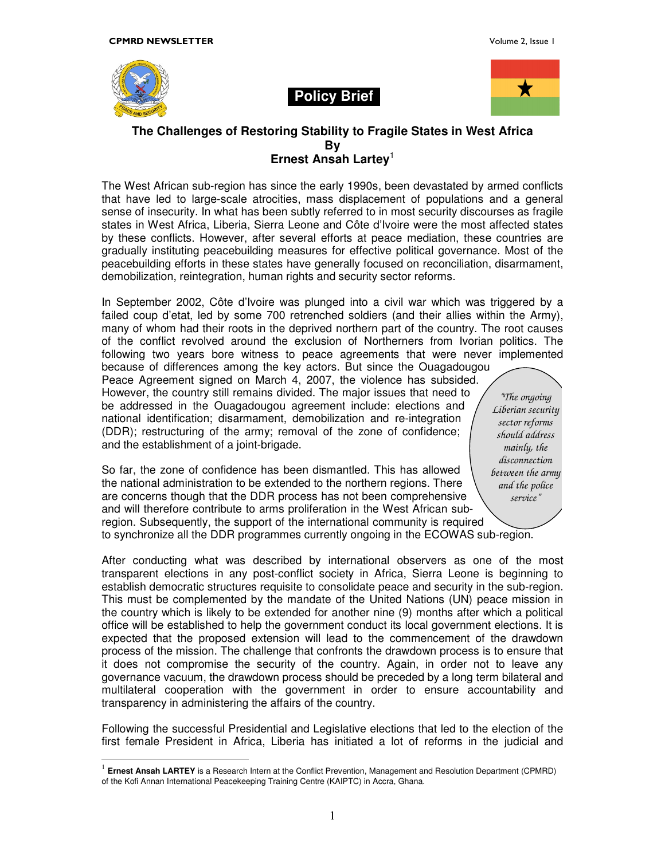

 $\overline{a}$ 

#### **Policy Brief**



#### **The Challenges of Restoring Stability to Fragile States in West Africa By Ernest Ansah Lartey**<sup>1</sup>

The West African sub-region has since the early 1990s, been devastated by armed conflicts that have led to large-scale atrocities, mass displacement of populations and a general sense of insecurity. In what has been subtly referred to in most security discourses as fragile states in West Africa, Liberia, Sierra Leone and Côte d'Ivoire were the most affected states by these conflicts. However, after several efforts at peace mediation, these countries are gradually instituting peacebuilding measures for effective political governance. Most of the peacebuilding efforts in these states have generally focused on reconciliation, disarmament, demobilization, reintegration, human rights and security sector reforms.

In September 2002, Côte d'Ivoire was plunged into a civil war which was triggered by a failed coup d'etat, led by some 700 retrenched soldiers (and their allies within the Army), many of whom had their roots in the deprived northern part of the country. The root causes of the conflict revolved around the exclusion of Northerners from Ivorian politics. The following two years bore witness to peace agreements that were never implemented

because of differences among the key actors. But since the Ouagadougou Peace Agreement signed on March 4, 2007, the violence has subsided. However, the country still remains divided. The major issues that need to be addressed in the Ouagadougou agreement include: elections and national identification; disarmament, demobilization and re-integration (DDR); restructuring of the army; removal of the zone of confidence; and the establishment of a joint-brigade.

*"The ongoing Liberian security sector reforms should address mainly, the disconnection between the army and the police service"*

So far, the zone of confidence has been dismantled. This has allowed the national administration to be extended to the northern regions. There are concerns though that the DDR process has not been comprehensive and will therefore contribute to arms proliferation in the West African subregion. Subsequently, the support of the international community is required to synchronize all the DDR programmes currently ongoing in the ECOWAS sub-region.

After conducting what was described by international observers as one of the most transparent elections in any post-conflict society in Africa, Sierra Leone is beginning to establish democratic structures requisite to consolidate peace and security in the sub-region. This must be complemented by the mandate of the United Nations (UN) peace mission in the country which is likely to be extended for another nine (9) months after which a political office will be established to help the government conduct its local government elections. It is expected that the proposed extension will lead to the commencement of the drawdown process of the mission. The challenge that confronts the drawdown process is to ensure that it does not compromise the security of the country. Again, in order not to leave any governance vacuum, the drawdown process should be preceded by a long term bilateral and multilateral cooperation with the government in order to ensure accountability and transparency in administering the affairs of the country.

Following the successful Presidential and Legislative elections that led to the election of the first female President in Africa, Liberia has initiated a lot of reforms in the judicial and

<sup>&</sup>lt;sup>1</sup> Ernest Ansah LARTEY is a Research Intern at the Conflict Prevention, Management and Resolution Department (CPMRD) of the Kofi Annan International Peacekeeping Training Centre (KAIPTC) in Accra, Ghana.